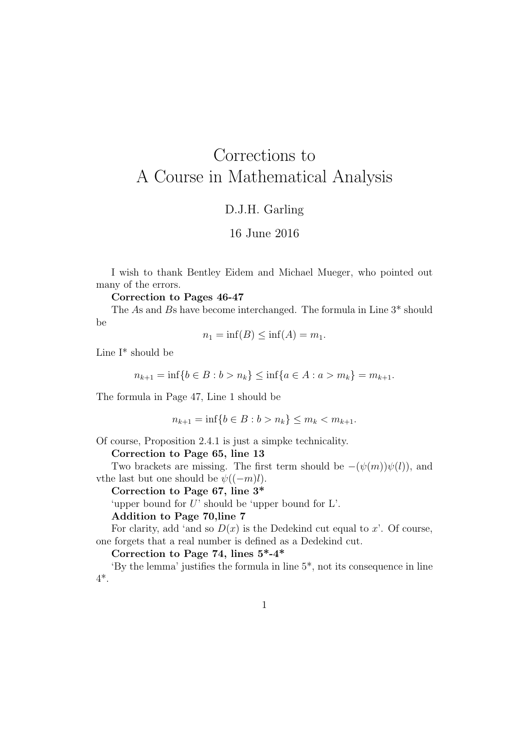# Corrections to A Course in Mathematical Analysis

## D.J.H. Garling

## 16 June 2016

I wish to thank Bentley Eidem and Michael Mueger, who pointed out many of the errors.

#### Correction to Pages 46-47

The As and Bs have become interchanged. The formula in Line 3\* should be

$$
n_1 = \inf(B) \le \inf(A) = m_1.
$$

Line I\* should be

$$
n_{k+1} = \inf\{b \in B : b > n_k\} \le \inf\{a \in A : a > m_k\} = m_{k+1}.
$$

The formula in Page 47, Line 1 should be

$$
n_{k+1} = \inf\{b \in B : b > n_k\} \le m_k < m_{k+1}.
$$

Of course, Proposition 2.4.1 is just a simpke technicality.

Correction to Page 65, line 13

Two brackets are missing. The first term should be  $-(\psi(m))\psi(l)$ , and vthe last but one should be  $\psi((-m)l)$ .

Correction to Page 67, line 3\*

'upper bound for U' should be 'upper bound for L'.

Addition to Page 70,line 7

For clarity, add 'and so  $D(x)$  is the Dedekind cut equal to x'. Of course, one forgets that a real number is defined as a Dedekind cut.

Correction to Page 74, lines  $5^*$ -4\*

'By the lemma' justifies the formula in line  $5^*$ , not its consequence in line 4\*.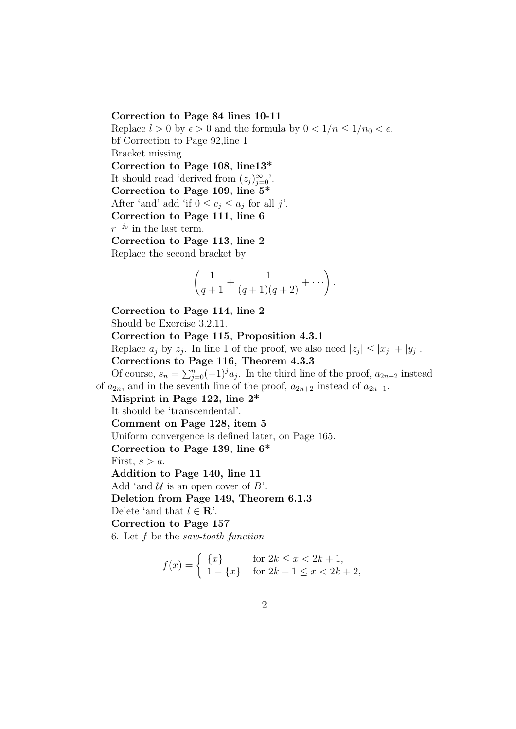#### Correction to Page 84 lines 10-11

Replace  $l > 0$  by  $\epsilon > 0$  and the formula by  $0 < 1/n \leq 1/n_0 < \epsilon$ . bf Correction to Page 92,line 1 Bracket missing. Correction to Page 108, line13\* It should read 'derived from  $(z_j)_{j=0}^{\infty}$ '. Correction to Page 109, line 5\* After 'and' add 'if  $0 \le c_j \le a_j$  for all j'. Correction to Page 111, line 6  $r^{-j_0}$  in the last term. Correction to Page 113, line 2 Replace the second bracket by

$$
\left(\frac{1}{q+1}+\frac{1}{(q+1)(q+2)}+\cdots\right).
$$

Correction to Page 114, line 2 Should be Exercise 3.2.11. Correction to Page 115, Proposition 4.3.1 Replace  $a_j$  by  $z_j$ . In line 1 of the proof, we also need  $|z_j| \leq |x_j| + |y_j|$ . Corrections to Page 116, Theorem 4.3.3 Of course,  $s_n = \sum_{j=0}^n (-1)^j a_j$ . In the third line of the proof,  $a_{2n+2}$  instead of  $a_{2n}$ , and in the seventh line of the proof,  $a_{2n+2}$  instead of  $a_{2n+1}$ . Misprint in Page 122, line 2\* It should be 'transcendental'. Comment on Page 128, item 5 Uniform convergence is defined later, on Page 165. Correction to Page 139, line 6\* First,  $s > a$ . Addition to Page 140, line 11 Add 'and  $\mathcal U$  is an open cover of  $B'$ . Deletion from Page 149, Theorem 6.1.3 Delete 'and that  $l \in \mathbf{R}$ '. Correction to Page 157 6. Let f be the saw-tooth function

$$
f(x) = \begin{cases} \{x\} & \text{for } 2k \le x < 2k + 1, \\ 1 - \{x\} & \text{for } 2k + 1 \le x < 2k + 2, \end{cases}
$$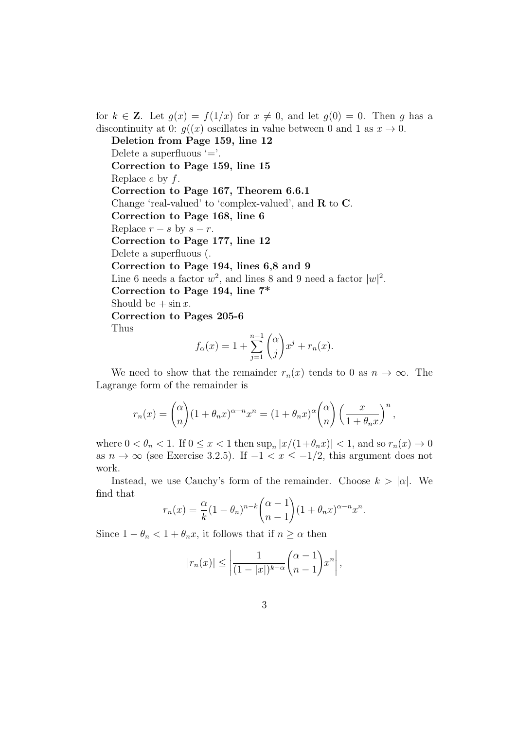for  $k \in \mathbb{Z}$ . Let  $g(x) = f(1/x)$  for  $x \neq 0$ , and let  $g(0) = 0$ . Then g has a discontinuity at 0:  $g((x)$  oscillates in value between 0 and 1 as  $x \to 0$ .

Deletion from Page 159, line 12

Delete a superfluous  $=$ .

Correction to Page 159, line 15

Replace  $e$  by  $f$ .

Correction to Page 167, Theorem 6.6.1

Change 'real-valued' to 'complex-valued', and R to C.

Correction to Page 168, line 6

Replace  $r - s$  by  $s - r$ .

Correction to Page 177, line 12

Delete a superfluous (.

Correction to Page 194, lines 6,8 and 9

Line 6 needs a factor  $w^2$ , and lines 8 and 9 need a factor  $|w|^2$ .

Correction to Page 194, line 7\*

Should be  $+\sin x$ .

Correction to Pages 205-6

Thus

$$
f_{\alpha}(x) = 1 + \sum_{j=1}^{n-1} {\alpha \choose j} x^{j} + r_{n}(x).
$$

We need to show that the remainder  $r_n(x)$  tends to 0 as  $n \to \infty$ . The Lagrange form of the remainder is

$$
r_n(x) = \binom{\alpha}{n} (1 + \theta_n x)^{\alpha - n} x^n = (1 + \theta_n x)^{\alpha} \binom{\alpha}{n} \left(\frac{x}{1 + \theta_n x}\right)^n,
$$

where  $0 < \theta_n < 1$ . If  $0 \le x < 1$  then  $\sup_n |x/(1+\theta_n x)| < 1$ , and so  $r_n(x) \to 0$ as  $n \to \infty$  (see Exercise 3.2.5). If  $-1 < x \le -1/2$ , this argument does not work.

Instead, we use Cauchy's form of the remainder. Choose  $k > |\alpha|$ . We find that

$$
r_n(x) = \frac{\alpha}{k} (1 - \theta_n)^{n-k} \binom{\alpha - 1}{n - 1} (1 + \theta_n x)^{\alpha - n} x^n.
$$

Since  $1 - \theta_n < 1 + \theta_n x$ , it follows that if  $n \ge \alpha$  then

$$
|r_n(x)| \le \left| \frac{1}{(1-|x|)^{k-\alpha}} \binom{\alpha-1}{n-1} x^n \right|,
$$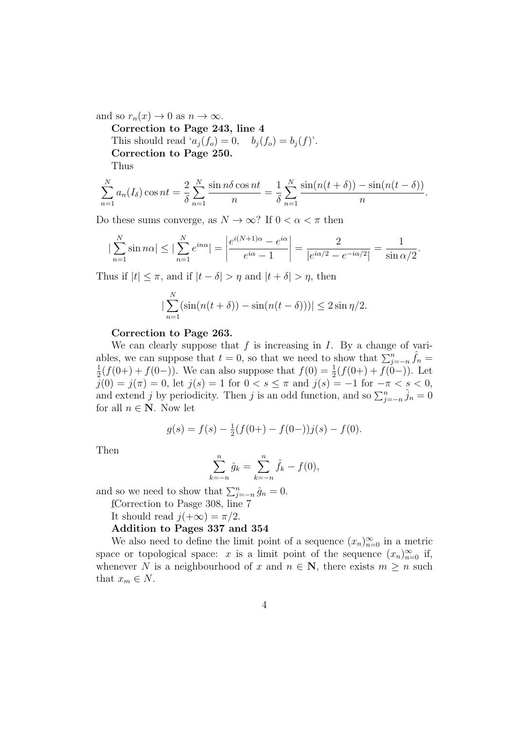and so  $r_n(x) \to 0$  as  $n \to \infty$ .

Correction to Page 243, line 4 This should read ' $a_i(f_o) = 0$ ,  $b_i(f_o) = b_i(f)$ '. Correction to Page 250. Thus

$$
\sum_{n=1}^{N} a_n(I_\delta) \cos nt = \frac{2}{\delta} \sum_{n=1}^{N} \frac{\sin n\delta \cos nt}{n} = \frac{1}{\delta} \sum_{n=1}^{N} \frac{\sin(n(t+\delta)) - \sin(n(t-\delta))}{n}.
$$

Do these sums converge, as  $N \to \infty$ ? If  $0 < \alpha < \pi$  then

$$
\left|\sum_{n=1}^{N} \sin n\alpha\right| \le \left|\sum_{n=1}^{N} e^{in\alpha}\right| = \left|\frac{e^{i(N+1)\alpha} - e^{i\alpha}}{e^{i\alpha} - 1}\right| = \frac{2}{|e^{i\alpha/2} - e^{-i\alpha/2}|} = \frac{1}{\sin \alpha/2}.
$$

Thus if  $|t| \leq \pi$ , and if  $|t - \delta| > \eta$  and  $|t + \delta| > \eta$ , then

$$
\left|\sum_{n=1}^{N} (\sin(n(t+\delta)) - \sin(n(t-\delta)))\right| \le 2\sin(\eta/2).
$$

#### Correction to Page 263.

We can clearly suppose that  $f$  is increasing in  $I$ . By a change of variables, we can suppose that  $t = 0$ , so that we need to show that  $\sum_{j=-n}^{n} \hat{f}_n =$ 1  $\frac{1}{2}(f(0+)+f(0-))$ . We can also suppose that  $f(0) = \frac{1}{2}(f(0+)+f(0-))$ . Let  $\overline{j}(0) = j(\pi) = 0$ , let  $j(s) = 1$  for  $0 < s \leq \pi$  and  $j(s) = -1$  for  $-\pi < s < 0$ , and extend j by periodicity. Then j is an odd function, and so  $\sum_{j=-n}^{n} \hat{j}_n = 0$ for all  $n \in \mathbb{N}$ . Now let

$$
g(s) = f(s) - \frac{1}{2}(f(0+) - f(0-))j(s) - f(0).
$$

Then

$$
\sum_{k=-n}^{n} \hat{g}_k = \sum_{k=-n}^{n} \hat{f}_k - f(0),
$$

and so we need to show that  $\sum_{j=-n}^{n} \hat{g}_n = 0$ .

f Correction to Pasge 308, line 7

It should read  $j(+\infty) = \pi/2$ .

Addition to Pages 337 and 354

We also need to define the limit point of a sequence  $(x_n)_{n=0}^{\infty}$  in a metric space or topological space: x is a limit point of the sequence  $(x_n)_{n=0}^{\infty}$  if, whenever N is a neighbourhood of x and  $n \in \mathbb{N}$ , there exists  $m \geq n$  such that  $x_m \in N$ .